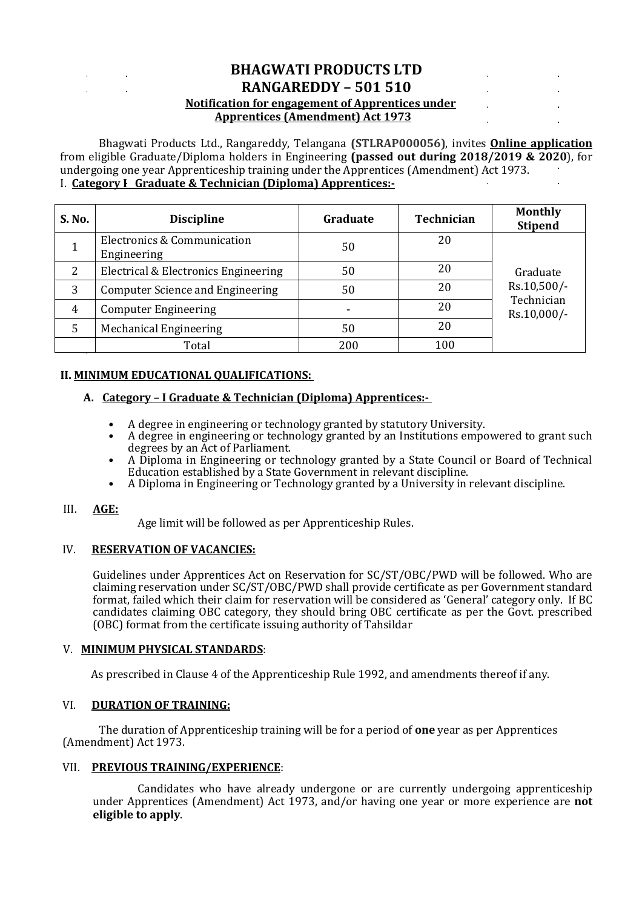# **BHAGWATI PRODUCTS LTD RANGAREDDY – 501 510 Notification for engagement of Apprentices under Apprentices (Amendment) Act 1973**

Bhagwati Products Ltd., Rangareddy, Telangana **(STLRAP000056)**, invites **Online application** from eligible Graduate/Diploma holders in Engineering **(passed out during 2018/2019 & 2020**), for undergoing one year Apprenticeship training under the Apprentices (Amendment) Act 1973. I. **Category I Graduate & Technician (Diploma) Apprentices:-**

| S. No. | <b>Discipline</b>                          | Graduate | Technician | <b>Monthly</b><br><b>Stipend</b>                     |
|--------|--------------------------------------------|----------|------------|------------------------------------------------------|
|        | Electronics & Communication<br>Engineering | 50       | 20         |                                                      |
| 2      | Electrical & Electronics Engineering       | 50       | 20         | Graduate<br>Rs.10,500/-<br>Technician<br>Rs.10,000/- |
| 3      | Computer Science and Engineering           | 50       | 20         |                                                      |
| 4      | <b>Computer Engineering</b>                |          | 20         |                                                      |

## **II. MINIMUM EDUCATIONAL QUALIFICATIONS:**

#### **A. Category – I Graduate & Technician (Diploma) Apprentices:-**

5 | Mechanical Engineering 1986 | 1987 | 1988

• A degree in engineering or technology granted by statutory University.

Total 100

- A degree in engineering or technology granted by an Institutions empowered to grant such degrees by an Act of Parliament.
- A Diploma in Engineering or technology granted by a State Council or Board of Technical Education established by a State Government in relevant discipline.
- A Diploma in Engineering or Technology granted by a University in relevant discipline.

#### III. **AGE:**

Age limit will be followed as per Apprenticeship Rules.

#### IV. **RESERVATION OF VACANCIES:**

Guidelines under Apprentices Act on Reservation for SC/ST/OBC/PWD will be followed. Who are claiming reservation under SC/ST/OBC/PWD shall provide certificate as per Government standard format, failed which their claim for reservation will be considered as 'General' category only. If BC candidates claiming OBC category, they should bring OBC certificate as per the Govt. prescribed (OBC) format from the certificate issuing authority of Tahsildar

#### V. **MINIMUM PHYSICAL STANDARDS**:

As prescribed in Clause 4 of the Apprenticeship Rule 1992, and amendments thereof if any.

#### VI. **DURATION OF TRAINING:**

The duration of Apprenticeship training will be for a period of **one** year as per Apprentices (Amendment) Act 1973.

#### VII. **PREVIOUS TRAINING/EXPERIENCE**:

 Candidates who have already undergone or are currently undergoing apprenticeship under Apprentices (Amendment) Act 1973, and/or having one year or more experience are **not eligible to apply**.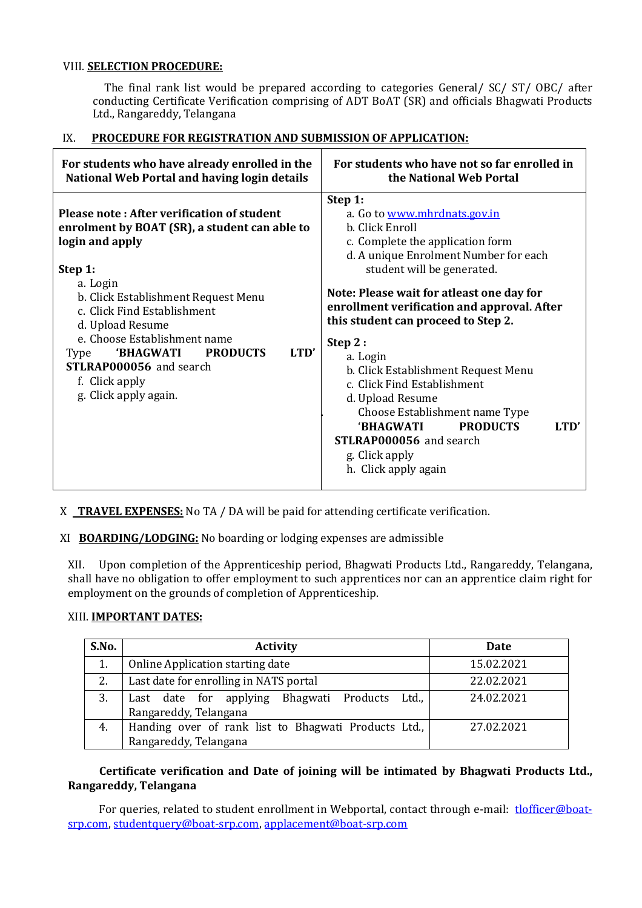### VIII. **SELECTION PROCEDURE:**

 The final rank list would be prepared according to categories General/ SC/ ST/ OBC/ after conducting Certificate Verification comprising of ADT BoAT (SR) and officials Bhagwati Products Ltd., Rangareddy, Telangana

### IX. **PROCEDURE FOR REGISTRATION AND SUBMISSION OF APPLICATION:**

| For students who have already enrolled in the                                                                                                                                                                                                                                                                                                                                                      | For students who have not so far enrolled in                                                                                                                                                                                                                                                                                                                                                                                                                                                                                                                                          |  |
|----------------------------------------------------------------------------------------------------------------------------------------------------------------------------------------------------------------------------------------------------------------------------------------------------------------------------------------------------------------------------------------------------|---------------------------------------------------------------------------------------------------------------------------------------------------------------------------------------------------------------------------------------------------------------------------------------------------------------------------------------------------------------------------------------------------------------------------------------------------------------------------------------------------------------------------------------------------------------------------------------|--|
| National Web Portal and having login details                                                                                                                                                                                                                                                                                                                                                       | the National Web Portal                                                                                                                                                                                                                                                                                                                                                                                                                                                                                                                                                               |  |
| Please note: After verification of student<br>enrolment by BOAT (SR), a student can able to<br>login and apply<br>Step 1:<br>a. Login<br>b. Click Establishment Request Menu<br>c. Click Find Establishment<br>d. Upload Resume<br>e. Choose Establishment name<br>LTD'<br><b>PRODUCTS</b><br><b>BHAGWATI</b><br><b>Type</b><br>STLRAP000056 and search<br>f. Click apply<br>g. Click apply again. | Step 1:<br>a. Go to www.mhrdnats.gov.in<br>b. Click Enroll<br>c. Complete the application form<br>d. A unique Enrolment Number for each<br>student will be generated.<br>Note: Please wait for atleast one day for<br>enrollment verification and approval. After<br>this student can proceed to Step 2.<br>Step 2:<br>a. Login<br>b. Click Establishment Request Menu<br>c. Click Find Establishment<br>d. Upload Resume<br>Choose Establishment name Type<br><b>BHAGWATI</b><br><b>PRODUCTS</b><br>LTD'<br><b>STLRAP000056</b> and search<br>g. Click apply<br>h. Click apply again |  |

X **TRAVEL EXPENSES:** No TA / DA will be paid for attending certificate verification.

XI **BOARDING/LODGING:** No boarding or lodging expenses are admissible

XII. Upon completion of the Apprenticeship period, Bhagwati Products Ltd., Rangareddy, Telangana, shall have no obligation to offer employment to such apprentices nor can an apprentice claim right for employment on the grounds of completion of Apprenticeship.

### XIII. **IMPORTANT DATES:**

| S.No. | <b>Activity</b>                                      | Date       |
|-------|------------------------------------------------------|------------|
| 1.    | Online Application starting date                     | 15.02.2021 |
| 2.    | Last date for enrolling in NATS portal               | 22.02.2021 |
| 3.    | Last date for applying Bhagwati Products<br>Ltd.,    | 24.02.2021 |
|       | Rangareddy, Telangana                                |            |
| 4.    | Handing over of rank list to Bhagwati Products Ltd., | 27.02.2021 |
|       | Rangareddy, Telangana                                |            |

**Certificate verification and Date of joining will be intimated by Bhagwati Products Ltd., Rangareddy, Telangana**

For queries, related to student enrollment in Webportal, contact through e-mail: [tlofficer@boat](mailto:tlofficer@boat-srp.com)[srp.com,](mailto:tlofficer@boat-srp.com) [studentquery@boat-srp.com,](mailto:studentquery@boat-srp.com) [applacement@boat-srp.com](mailto:applacement@boat-srp.com)